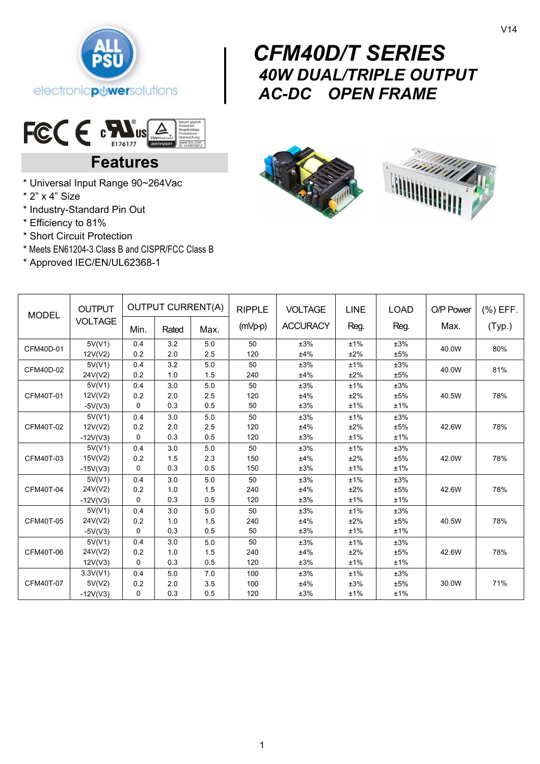

# $\begin{bmatrix} & & & & \ & \mathbf{C} & & & \ & & \mathbf{A} & & \ & & \mathbf{A} & & \ & & \mathbf{A} & & \end{bmatrix}$  *CFM40D/T SERIES 40W DUAL/TRIPLE OUTPUT AC-DC OPEN FRAME*



# **Features**

- \* Universal Input Range 90~264Vac
- \* 2" x 4" Size
- \* Industry-Standard Pin Out
- \* Efficiency to 81%
- \* Short Circuit Protection
- \* Meets EN61204-3 Class B and CISPR/FCC Class B
- \* Approved IEC/EN/UL62368-1



| <b>MODEL</b> | <b>OUTPUT</b><br><b>VOLTAGE</b> | <b>OUTPUT CURRENT(A)</b> |       |      | <b>RIPPLE</b> | <b>VOLTAGE</b>  | LINE      | <b>LOAD</b> | O/P Power | $(%)$ EFF. |
|--------------|---------------------------------|--------------------------|-------|------|---------------|-----------------|-----------|-------------|-----------|------------|
|              |                                 | Min.                     | Rated | Max. | (mVp-p)       | <b>ACCURACY</b> | Reg.      | Reg.        | Max.      | (Typ.)     |
| CFM40D-01    | 5V(V1)                          | 0.4                      | 3.2   | 5.0  | 50            | ±3%             | ±1%       | ±3%         | 40.0W     | 80%        |
|              | 12V(V2)                         | 0.2                      | 2.0   | 2.5  | 120           | ±4%             | ±2%       | ±5%         |           |            |
| CFM40D-02    | 5V(V1)                          | 0.4                      | 3.2   | 5.0  | 50            | ±3%             | ±1%       | ±3%         | 40.0W     | 81%        |
|              | 24V(V2)                         | 0.2                      | 1.0   | 1.5  | 240           | ±4%             | ±2%       | ±5%         |           |            |
| CFM40T-01    | 5V(V1)                          | 0.4                      | 3.0   | 5.0  | 50            | ±3%             | ±1%       | ±3%         |           |            |
|              | 12V(V2)                         | 0.2                      | 2.0   | 2.5  | 120           | ±4%             | ±2%       | ±5%         | 40.5W     | 78%        |
|              | $-5V(V3)$                       | 0                        | 0.3   | 0.5  | 50            | ±3%             | ±1%       | ±1%         |           |            |
| CFM40T-02    | 5V(V1)                          | 0.4                      | 3.0   | 5.0  | 50            | ±3%             | ±1%       | ±3%         |           |            |
|              | 12V(V2)                         | 0.2                      | 2.0   | 2.5  | 120           | ±4%             | ±2%       | ±5%         | 42.6W     | 78%        |
|              | $-12V(V3)$                      | 0                        | 0.3   | 0.5  | 120           | ±3%             | ±1%       | ±1%         |           |            |
| CFM40T-03    | 5V(V1)                          | 0.4                      | 3.0   | 5.0  | 50            | ±3%             | ±1%       | ±3%         |           |            |
|              | 15V(V2)                         | 0.2                      | 1.5   | 2.3  | 150           | ±4%             | $\pm 2\%$ | ±5%         | 42.0W     | 78%        |
|              | $-15V(V3)$                      | $\Omega$                 | 0.3   | 0.5  | 150           | ±3%             | ±1%       | ±1%         |           |            |
| CFM40T-04    | 5V(V1)                          | 0.4                      | 3.0   | 5.0  | 50            | ±3%             | ±1%       | ±3%         |           |            |
|              | 24V(V2)                         | 0.2                      | 1.0   | 1.5  | 240           | ±4%             | ±2%       | ±5%         | 42.6W     | 78%        |
|              | $-12V(V3)$                      | $\mathbf{0}$             | 0.3   | 0.5  | 120           | ±3%             | ±1%       | ±1%         |           |            |
| CFM40T-05    | 5V(V1)                          | 0.4                      | 3.0   | 5.0  | 50            | ±3%             | ±1%       | ±3%         |           |            |
|              | 24V(V2)                         | 0.2                      | 1.0   | 1.5  | 240           | ±4%             | ±2%       | ±5%         | 40.5W     | 78%        |
|              | $-5V(V3)$                       | 0                        | 0.3   | 0.5  | 50            | ±3%             | ±1%       | ±1%         |           |            |
| CFM40T-06    | 5V(V1)                          | 0.4                      | 3.0   | 5.0  | 50            | ±3%             | ±1%       | ±3%         |           |            |
|              | 24V(V2)                         | 0.2                      | 1.0   | 1.5  | 240           | ±4%             | ±2%       | ±5%         | 42.6W     | 78%        |
|              | 12V(V3)                         | $\Omega$                 | 0.3   | 0.5  | 120           | ±3%             | ±1%       | ±1%         |           |            |
| CFM40T-07    | 3.3V(V1)                        | 0.4                      | 5.0   | 7.0  | 100           | ±3%             | ±1%       | ±3%         |           |            |
|              | 5V(V2)                          | 0.2                      | 2.0   | 3.5  | 100           | ±4%             | ±3%       | ±5%         | 30.0W     | 71%        |
|              | $-12V(V3)$                      | 0                        | 0.3   | 0.5  | 120           | ±3%             | ±1%       | ±1%         |           |            |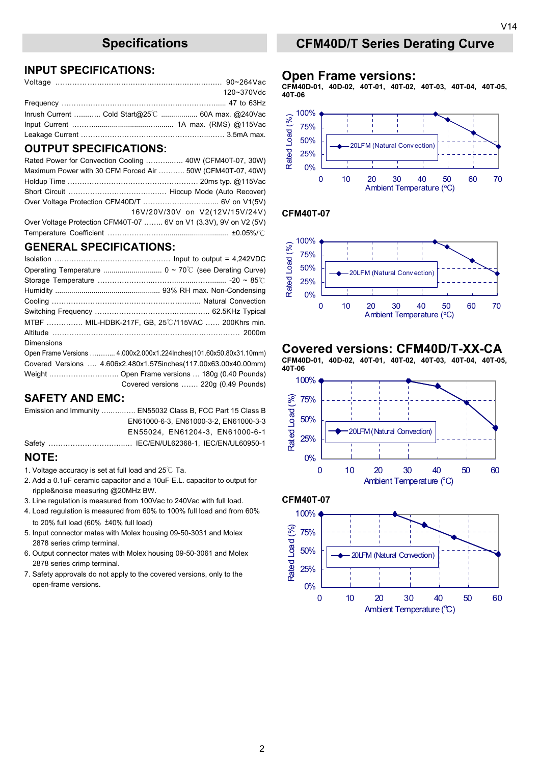### **INPUT SPECIFICATIONS:**

|                                                  | 120~370Vdc |
|--------------------------------------------------|------------|
|                                                  |            |
| Inrush Current  Cold Start@25℃  60A max. @240Vac |            |
|                                                  |            |
|                                                  |            |

#### **OUTPUT SPECIFICATIONS:**

| Rated Power for Convection Cooling  40W (CFM40T-07, 30W)          |                                |
|-------------------------------------------------------------------|--------------------------------|
| Maximum Power with 30 CFM Forced Air  50W (CFM40T-07, 40W)        |                                |
|                                                                   |                                |
|                                                                   |                                |
|                                                                   |                                |
|                                                                   | 16V/20V/30V on V2(12V/15V/24V) |
| Over Voltage Protection CFM40T-07  6V on V1 (3.3V), 9V on V2 (5V) |                                |
|                                                                   |                                |

#### **GENERAL SPECIFICATIONS:**

|            | MTBF  MIL-HDBK-217F, GB, 25°C/115VAC  200Khrs min.                 |
|------------|--------------------------------------------------------------------|
|            |                                                                    |
| Dimensions |                                                                    |
|            | Open Frame Versions  4.000x2.000x1.224Inches(101.60x50.80x31.10mm) |
|            | Covered Versions  4.606x2.480x1.575inches(117.00x63.00x40.00mm)    |
|            |                                                                    |
|            | Covered versions  220g (0.49 Pounds)                               |

#### **SAFETY AND EMC:**

Emission and Immunity …..…..….. EN55032 Class B, FCC Part 15 Class B EN61000-6-3, EN61000-3-2, EN61000-3-3 EN55024, EN61204-3, EN61000-6-1 Safety …………………………..… IEC/EN/UL62368-1, IEC/EN/UL60950-1

#### **NOTE:**

- 1. Voltage accuracy is set at full load and 25℃ Ta.
- 2. Add a 0.1uF ceramic capacitor and a 10uF E.L. capacitor to output for ripple&noise measuring @20MHz BW.
- 3. Line regulation is measured from 100Vac to 240Vac with full load.
- 4. Load regulation is measured from 60% to 100% full load and from 60% to 20% full load (60% ±40% full load)
- 5. Input connector mates with Molex housing 09-50-3031 and Molex 2878 series crimp terminal.
- 6. Output connector mates with Molex housing 09-50-3061 and Molex 2878 series crimp terminal.
- 7. Safety approvals do not apply to the covered versions, only to the open-frame versions.

## **Specifications CFM40D/T Series Derating Curve**

#### **Open Frame versions:**

**CFM40D-01, 40D-02, 40T-01, 40T-02, 40T-03, 40T-04, 40T-05, 40T-06** 



#### **CFM40T-07**



## **Covered versions: CFM40D/T-XX-CA**

**CFM40D-01, 40D-02, 40T-01, 40T-02, 40T-03, 40T-04, 40T-05, 40T-06**





2